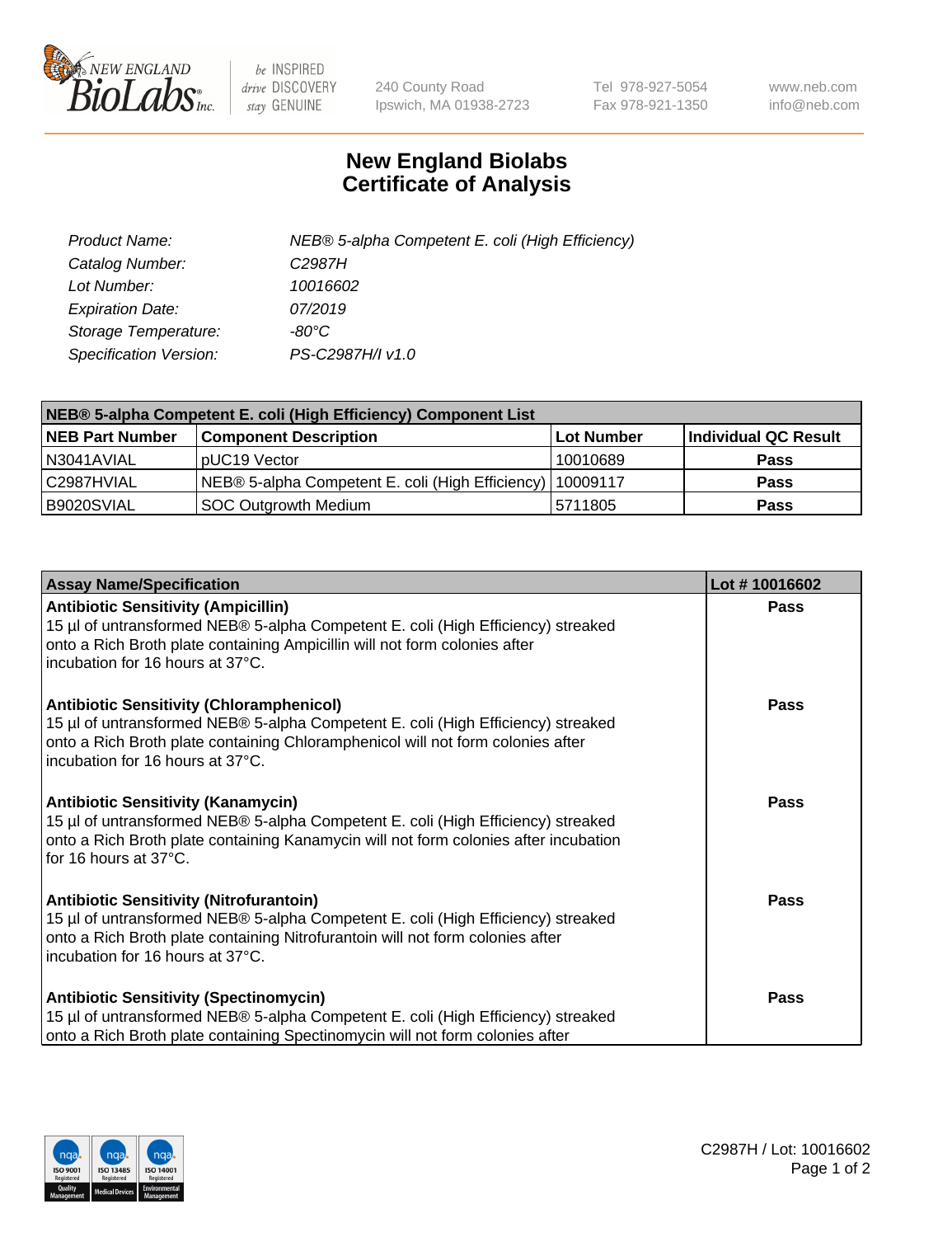

 $be$  INSPIRED drive DISCOVERY stay GENUINE

240 County Road Ipswich, MA 01938-2723 Tel 978-927-5054 Fax 978-921-1350 www.neb.com info@neb.com

## **New England Biolabs Certificate of Analysis**

| Product Name:           | NEB® 5-alpha Competent E. coli (High Efficiency) |
|-------------------------|--------------------------------------------------|
| Catalog Number:         | C <sub>2987</sub> H                              |
| Lot Number:             | 10016602                                         |
| <b>Expiration Date:</b> | 07/2019                                          |
| Storage Temperature:    | -80°C                                            |
| Specification Version:  | PS-C2987H/I v1.0                                 |

| NEB® 5-alpha Competent E. coli (High Efficiency) Component List |                                                             |            |                      |  |
|-----------------------------------------------------------------|-------------------------------------------------------------|------------|----------------------|--|
| <b>NEB Part Number</b>                                          | <b>Component Description</b>                                | Lot Number | Individual QC Result |  |
| N3041AVIAL                                                      | pUC19 Vector                                                | 10010689   | <b>Pass</b>          |  |
| C2987HVIAL                                                      | NEB® 5-alpha Competent E. coli (High Efficiency)   10009117 |            | <b>Pass</b>          |  |
| B9020SVIAL                                                      | <b>SOC Outgrowth Medium</b>                                 | 5711805    | <b>Pass</b>          |  |

| <b>Assay Name/Specification</b>                                                                                                                                                                                                                            | Lot #10016602 |
|------------------------------------------------------------------------------------------------------------------------------------------------------------------------------------------------------------------------------------------------------------|---------------|
| <b>Antibiotic Sensitivity (Ampicillin)</b><br>15 µl of untransformed NEB® 5-alpha Competent E. coli (High Efficiency) streaked<br>onto a Rich Broth plate containing Ampicillin will not form colonies after<br>incubation for 16 hours at 37°C.           | Pass          |
| <b>Antibiotic Sensitivity (Chloramphenicol)</b><br>15 µl of untransformed NEB® 5-alpha Competent E. coli (High Efficiency) streaked<br>onto a Rich Broth plate containing Chloramphenicol will not form colonies after<br>incubation for 16 hours at 37°C. | Pass          |
| Antibiotic Sensitivity (Kanamycin)<br>15 µl of untransformed NEB® 5-alpha Competent E. coli (High Efficiency) streaked<br>onto a Rich Broth plate containing Kanamycin will not form colonies after incubation<br>for 16 hours at 37°C.                    | Pass          |
| <b>Antibiotic Sensitivity (Nitrofurantoin)</b><br>15 µl of untransformed NEB® 5-alpha Competent E. coli (High Efficiency) streaked<br>onto a Rich Broth plate containing Nitrofurantoin will not form colonies after<br>incubation for 16 hours at 37°C.   | <b>Pass</b>   |
| <b>Antibiotic Sensitivity (Spectinomycin)</b><br>15 µl of untransformed NEB® 5-alpha Competent E. coli (High Efficiency) streaked<br>onto a Rich Broth plate containing Spectinomycin will not form colonies after                                         | Pass          |